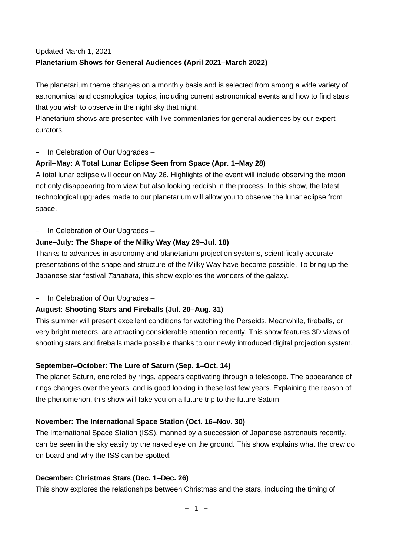#### Updated March 1, 2021 **Planetarium Shows for General Audiences (April 2021–March 2022)**

The planetarium theme changes on a monthly basis and is selected from among a wide variety of astronomical and cosmological topics, including current astronomical events and how to find stars that you wish to observe in the night sky that night.

Planetarium shows are presented with live commentaries for general audiences by our expert curators.

In Celebration of Our Upgrades -

#### **April–May: A Total Lunar Eclipse Seen from Space (Apr. 1–May 28)**

A total lunar eclipse will occur on May 26. Highlights of the event will include observing the moon not only disappearing from view but also looking reddish in the process. In this show, the latest technological upgrades made to our planetarium will allow you to observe the lunar eclipse from space.

In Celebration of Our Upgrades -

# **June–July: The Shape of the Milky Way (May 29–Jul. 18)**

Thanks to advances in astronomy and planetarium projection systems, scientifically accurate presentations of the shape and structure of the Milky Way have become possible. To bring up the Japanese star festival *Tanabata*, this show explores the wonders of the galaxy.

In Celebration of Our Upgrades -

# **August: Shooting Stars and Fireballs (Jul. 20–Aug. 31)**

This summer will present excellent conditions for watching the Perseids. Meanwhile, fireballs, or very bright meteors, are attracting considerable attention recently. This show features 3D views of shooting stars and fireballs made possible thanks to our newly introduced digital projection system.

# **September–October: The Lure of Saturn (Sep. 1–Oct. 14)**

The planet Saturn, encircled by rings, appears captivating through a telescope. The appearance of rings changes over the years, and is good looking in these last few years. Explaining the reason of the phenomenon, this show will take you on a future trip to the future Saturn.

# **November: The International Space Station (Oct. 16–Nov. 30)**

The International Space Station (ISS), manned by a succession of Japanese astronauts recently, can be seen in the sky easily by the naked eye on the ground. This show explains what the crew do on board and why the ISS can be spotted.

# **December: Christmas Stars (Dec. 1–Dec. 26)**

This show explores the relationships between Christmas and the stars, including the timing of